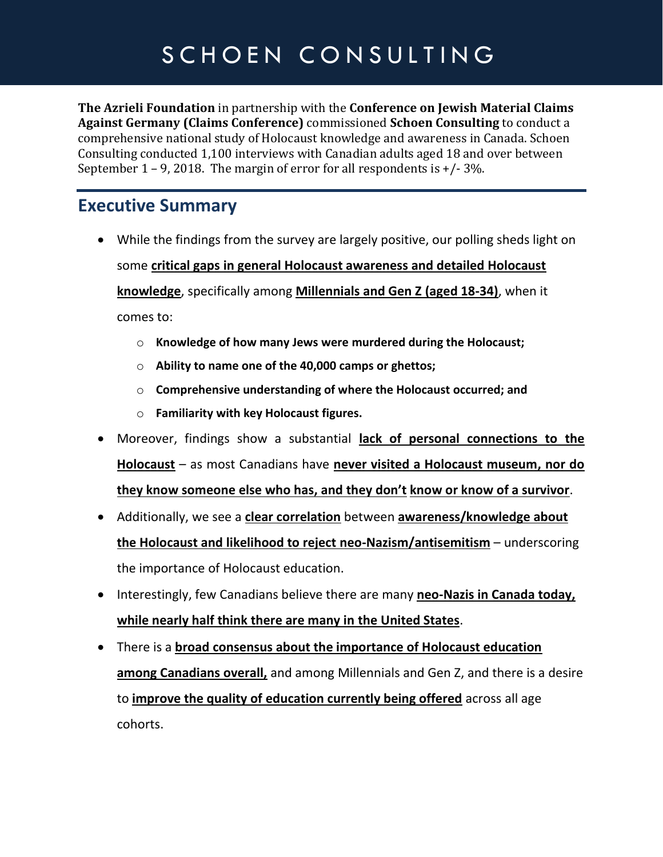# SCHOEN CONSULTING

**The Azrieli Foundation** in partnership with the **Conference on Jewish Material Claims Against Germany (Claims Conference)** commissioned **Schoen Consulting** to conduct a comprehensive national study of Holocaust knowledge and awareness in Canada. Schoen Consulting conducted 1,100 interviews with Canadian adults aged 18 and over between September 1 – 9, 2018. The margin of error for all respondents is  $+/-3\%$ .

#### **Executive Summary**

- While the findings from the survey are largely positive, our polling sheds light on some **critical gaps in general Holocaust awareness and detailed Holocaust knowledge**, specifically among **Millennials and Gen Z (aged 18-34)**, when it comes to:
	- o **Knowledge of how many Jews were murdered during the Holocaust;**
	- o **Ability to name one of the 40,000 camps or ghettos;**
	- o **Comprehensive understanding of where the Holocaust occurred; and**
	- o **Familiarity with key Holocaust figures.**
- Moreover, findings show a substantial **lack of personal connections to the Holocaust** – as most Canadians have **never visited a Holocaust museum, nor do they know someone else who has, and they don't know or know of a survivor**.
- Additionally, we see a **clear correlation** between **awareness/knowledge about the Holocaust and likelihood to reject neo-Nazism/antisemitism** – underscoring the importance of Holocaust education.
- Interestingly, few Canadians believe there are many **neo-Nazis in Canada today, while nearly half think there are many in the United States**.
- There is a **broad consensus about the importance of Holocaust education among Canadians overall,** and among Millennials and Gen Z, and there is a desire to **improve the quality of education currently being offered** across all age cohorts.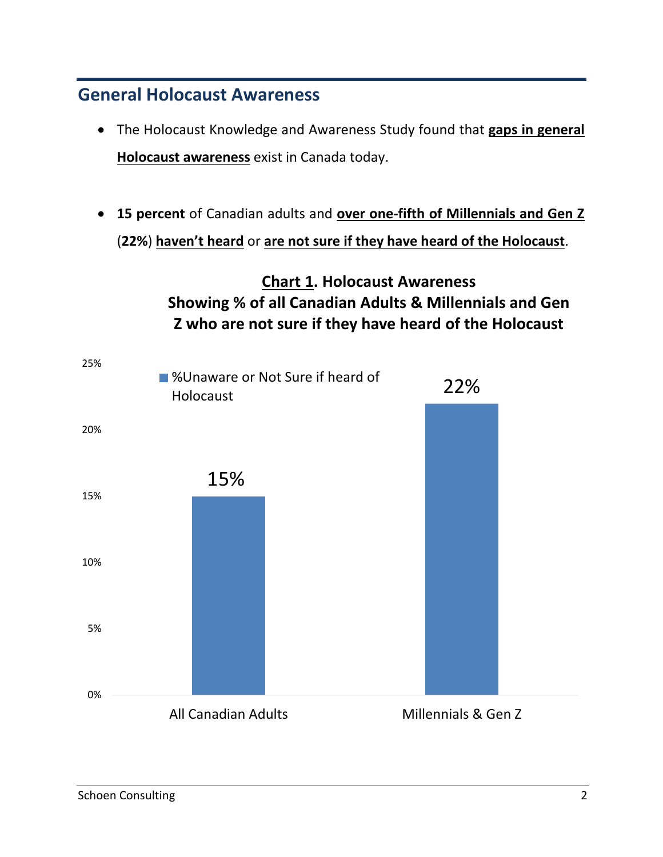#### **General Holocaust Awareness**

- The Holocaust Knowledge and Awareness Study found that **gaps in general Holocaust awareness** exist in Canada today.
- **15 percent** of Canadian adults and **over one-fifth of Millennials and Gen Z**  (**22%**) **haven't heard** or **are not sure if they have heard of the Holocaust**.

#### **Chart 1. Holocaust Awareness Showing % of all Canadian Adults & Millennials and Gen Z who are not sure if they have heard of the Holocaust**

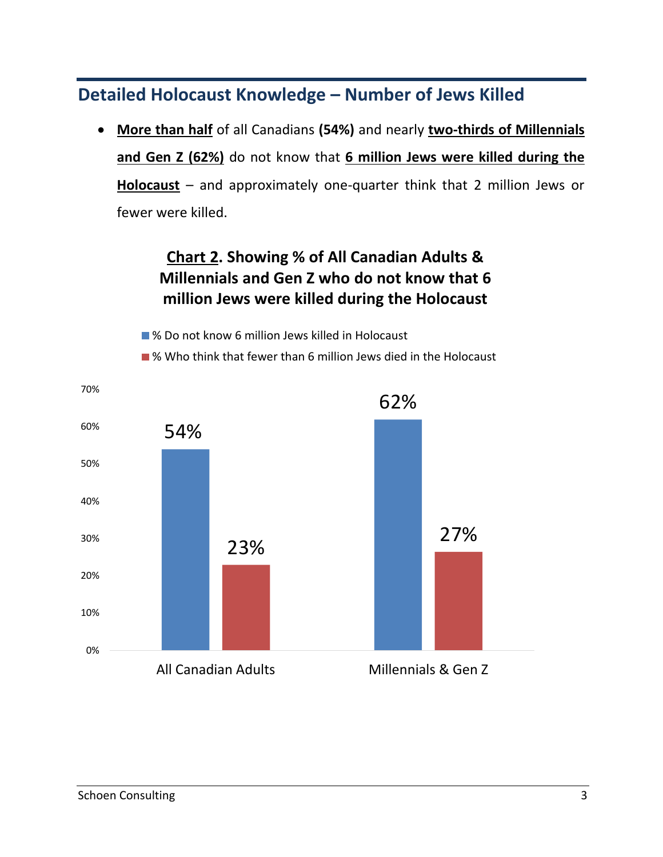#### **Detailed Holocaust Knowledge – Number of Jews Killed**

• **More than half** of all Canadians **(54%)** and nearly **two-thirds of Millennials and Gen Z (62%)** do not know that **6 million Jews were killed during the Holocaust** – and approximately one-quarter think that 2 million Jews or fewer were killed.

#### **Chart 2. Showing % of All Canadian Adults & Millennials and Gen Z who do not know that 6 million Jews were killed during the Holocaust**

■ % Do not know 6 million Jews killed in Holocaust ■ % Who think that fewer than 6 million Jews died in the Holocaust

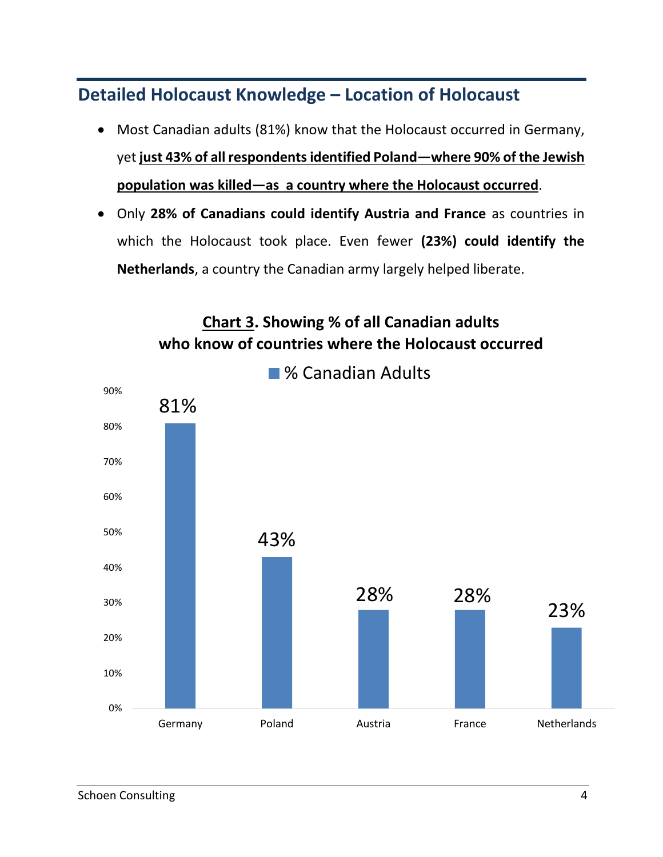**Detailed Holocaust Knowledge – Location of Holocaust** 

- Most Canadian adults (81%) know that the Holocaust occurred in Germany, yet **just 43% of all respondents identified Poland—where 90% of the Jewish population was killed—as a country where the Holocaust occurred**.
- Only **28% of Canadians could identify Austria and France** as countries in which the Holocaust took place. Even fewer **(23%) could identify the Netherlands**, a country the Canadian army largely helped liberate.

![](_page_3_Figure_3.jpeg)

**Chart 3. Showing % of all Canadian adults who know of countries where the Holocaust occurred** 

Schoen Consulting 4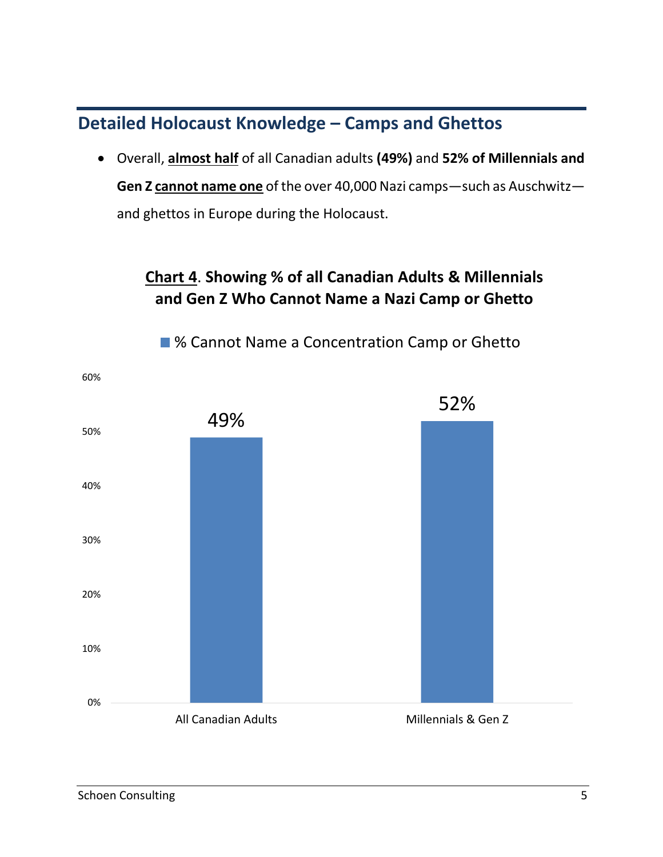#### **Detailed Holocaust Knowledge – Camps and Ghettos**

• Overall, **almost half** of all Canadian adults **(49%)** and **52% of Millennials and Gen Z cannot name one** of the over 40,000 Nazi camps—such as Auschwitz and ghettos in Europe during the Holocaust.

#### **Chart 4**. **Showing % of all Canadian Adults & Millennials and Gen Z Who Cannot Name a Nazi Camp or Ghetto**

![](_page_4_Figure_3.jpeg)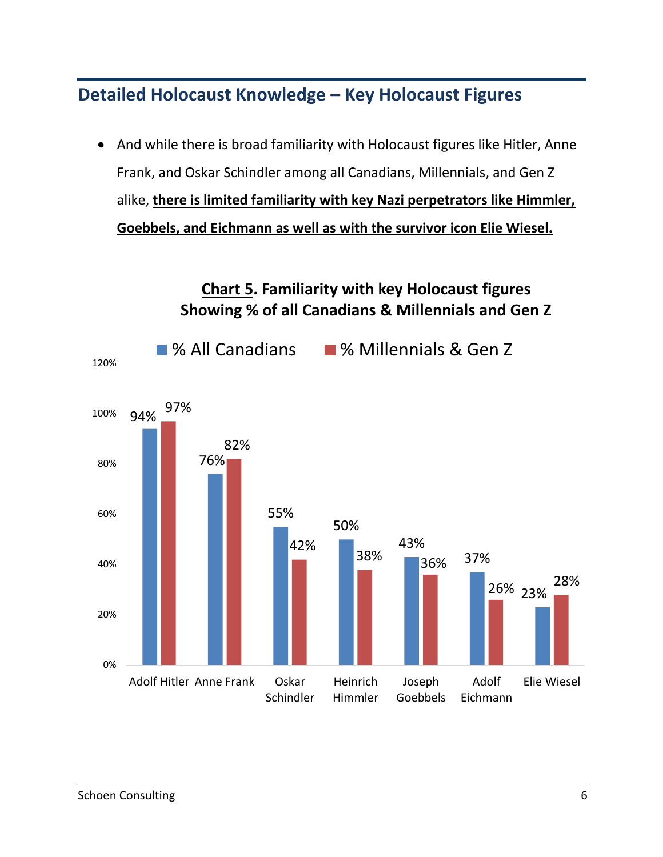#### **Detailed Holocaust Knowledge – Key Holocaust Figures**

• And while there is broad familiarity with Holocaust figures like Hitler, Anne Frank, and Oskar Schindler among all Canadians, Millennials, and Gen Z alike, **there is limited familiarity with key Nazi perpetrators like Himmler, Goebbels, and Eichmann as well as with the survivor icon Elie Wiesel.** 

![](_page_5_Figure_2.jpeg)

## **Chart 5. Familiarity with key Holocaust figures Showing % of all Canadians & Millennials and Gen Z**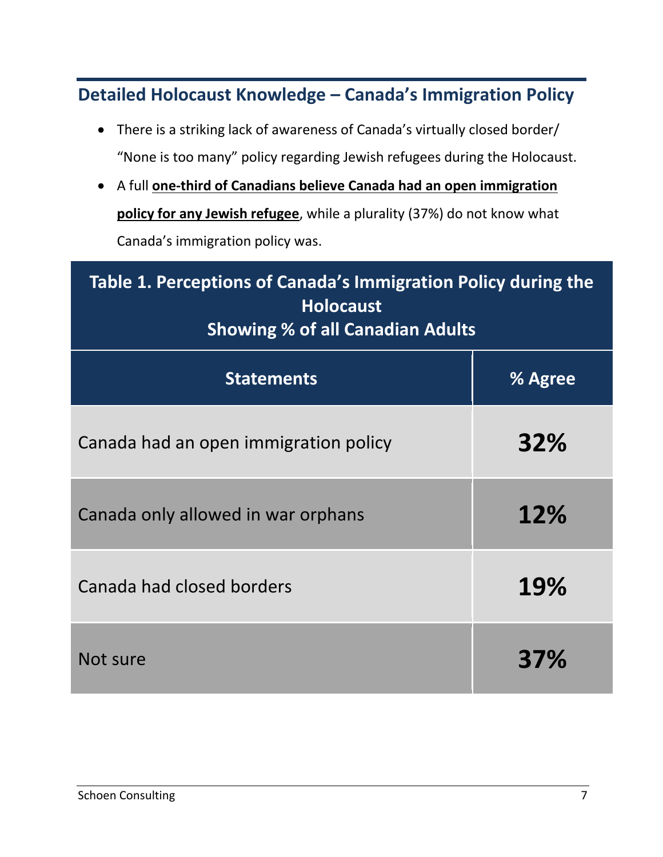**Detailed Holocaust Knowledge – Canada's Immigration Policy** 

- There is a striking lack of awareness of Canada's virtually closed border/ "None is too many" policy regarding Jewish refugees during the Holocaust.
- A full **one-third of Canadians believe Canada had an open immigration policy for any Jewish refugee**, while a plurality (37%) do not know what Canada's immigration policy was.

| Table 1. Perceptions of Canada's Immigration Policy during the<br><b>Holocaust</b><br><b>Showing % of all Canadian Adults</b> |     |
|-------------------------------------------------------------------------------------------------------------------------------|-----|
| <b>Statements</b><br>% Agree                                                                                                  |     |
| Canada had an open immigration policy                                                                                         | 32% |
| Canada only allowed in war orphans                                                                                            | 12% |
| Canada had closed borders                                                                                                     | 19% |
| Not sure                                                                                                                      | 37% |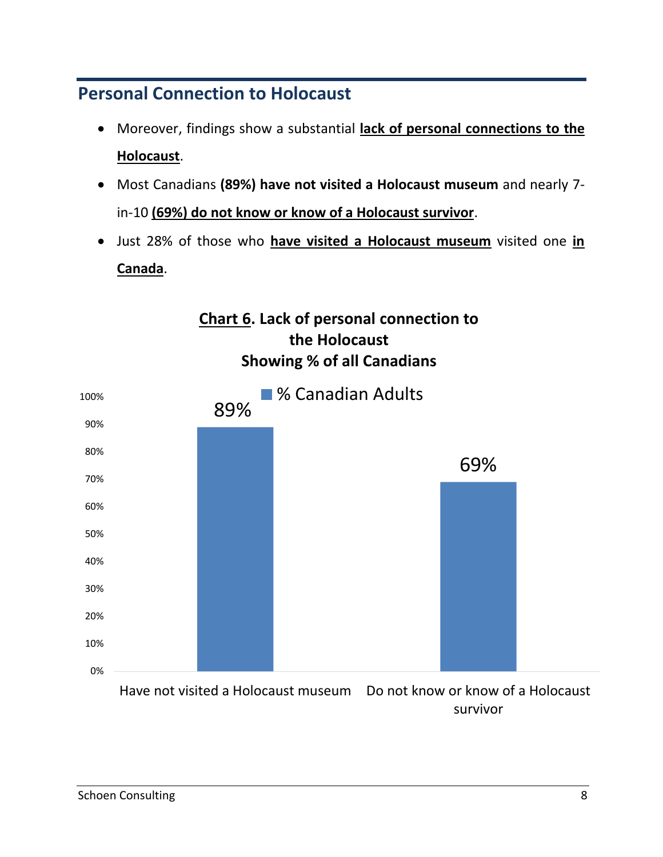#### **Personal Connection to Holocaust**

- Moreover, findings show a substantial **lack of personal connections to the Holocaust**.
- Most Canadians **(89%) have not visited a Holocaust museum** and nearly 7 in-10 **(69%) do not know or know of a Holocaust survivor**.
- Just 28% of those who **have visited a Holocaust museum** visited one **in Canada**.

**Chart 6. Lack of personal connection to the Holocaust** 

![](_page_7_Figure_4.jpeg)

survivor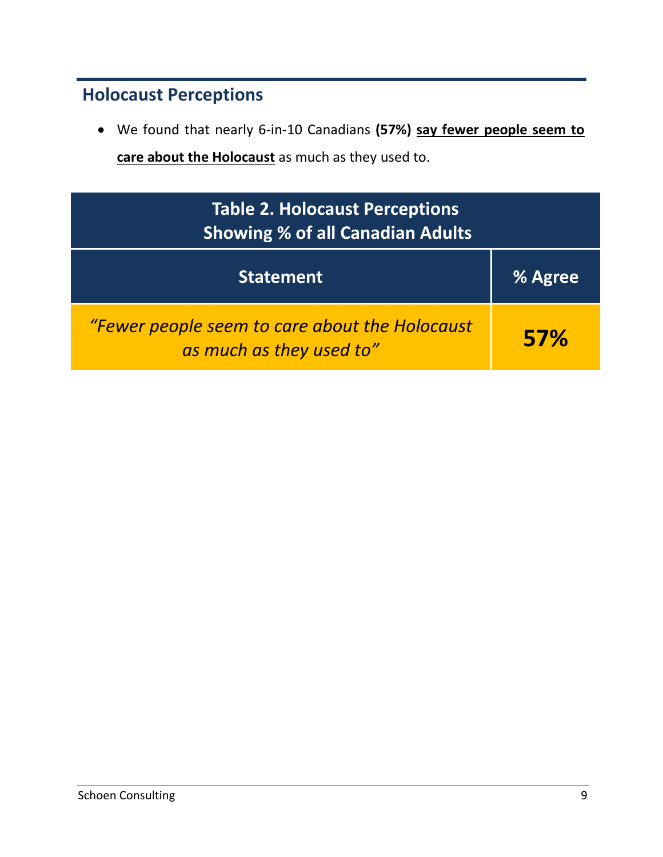#### **Holocaust Perceptions**

• We found that nearly 6-in-10 Canadians **(57%) say fewer people seem to care about the Holocaust** as much as they used to.

| <b>Table 2. Holocaust Perceptions</b><br><b>Showing % of all Canadian Adults</b> |            |
|----------------------------------------------------------------------------------|------------|
| <b>Statement</b>                                                                 | % Agree    |
| "Fewer people seem to care about the Holocaust<br>as much as they used to"       | <b>57%</b> |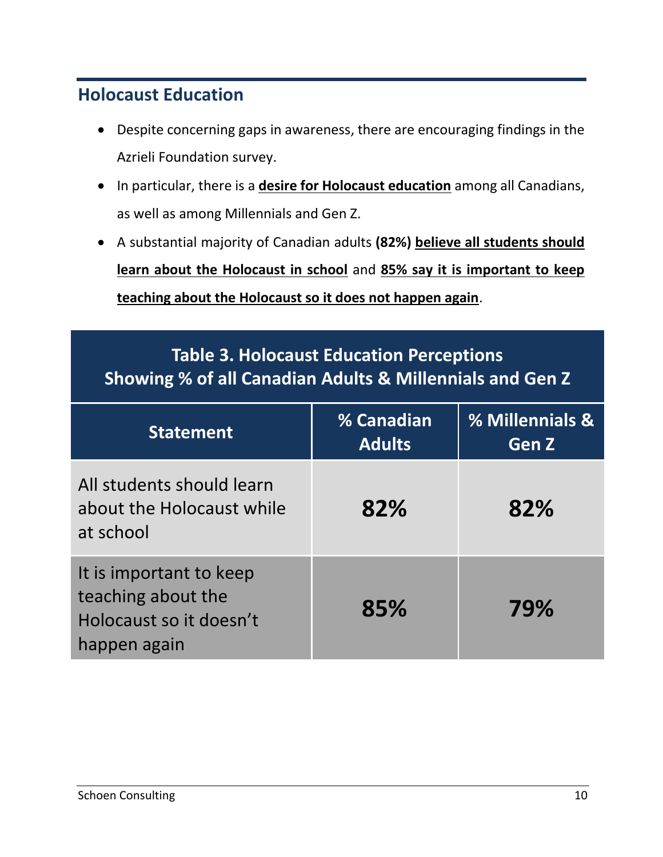#### **Holocaust Education**

- Despite concerning gaps in awareness, there are encouraging findings in the Azrieli Foundation survey.
- In particular, there is a **desire for Holocaust education** among all Canadians, as well as among Millennials and Gen Z.
- A substantial majority of Canadian adults **(82%) believe all students should learn about the Holocaust in school** and **85% say it is important to keep teaching about the Holocaust so it does not happen again**.

### **Table 3. Holocaust Education Perceptions Showing % of all Canadian Adults & Millennials and Gen Z**

| <b>Statement</b>                                                                         | % Canadian<br><b>Adults</b> | % Millennials &<br><b>Gen Z</b> |
|------------------------------------------------------------------------------------------|-----------------------------|---------------------------------|
| All students should learn<br>about the Holocaust while<br>at school                      | 82%                         | 82%                             |
| It is important to keep<br>teaching about the<br>Holocaust so it doesn't<br>happen again | 85%                         | 79%                             |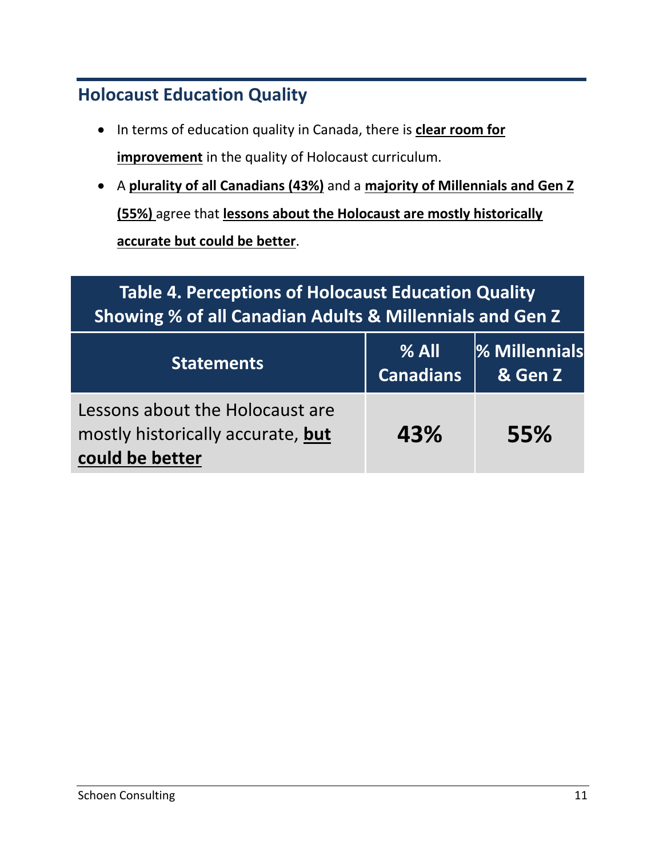#### **Holocaust Education Quality**

- In terms of education quality in Canada, there is **clear room for improvement** in the quality of Holocaust curriculum.
- A **plurality of all Canadians (43%)** and a **majority of Millennials and Gen Z (55%)** agree that **lessons about the Holocaust are mostly historically accurate but could be better**.

#### **Table 4. Perceptions of Holocaust Education Quality Showing % of all Canadian Adults & Millennials and Gen Z Statements % All Canadians % Millennials & Gen Z**

| Lessons about the Holocaust are<br>mostly historically accurate, but | 43% | 55% |
|----------------------------------------------------------------------|-----|-----|
| could be better                                                      |     |     |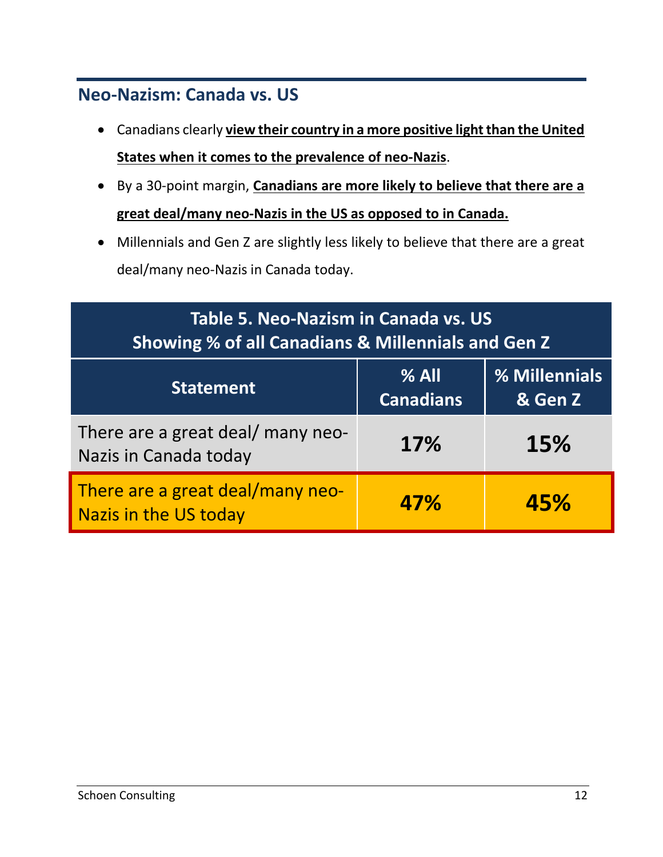#### **Neo-Nazism: Canada vs. US**

- Canadians clearly **view their country in a more positive light than the United States when it comes to the prevalence of neo-Nazis**.
- By a 30-point margin, **Canadians are more likely to believe that there are a great deal/many neo-Nazis in the US as opposed to in Canada.**
- Millennials and Gen Z are slightly less likely to believe that there are a great deal/many neo-Nazis in Canada today.

| Table 5. Neo-Nazism in Canada vs. US<br><b>Showing % of all Canadians &amp; Millennials and Gen Z</b> |                             |                          |
|-------------------------------------------------------------------------------------------------------|-----------------------------|--------------------------|
| <b>Statement</b>                                                                                      | $%$ All<br><b>Canadians</b> | % Millennials<br>& Gen Z |
| There are a great deal/ many neo-<br>Nazis in Canada today                                            | 17%                         | 15%                      |
| There are a great deal/many neo-<br><b>Nazis in the US today</b>                                      | 47%                         | 45%                      |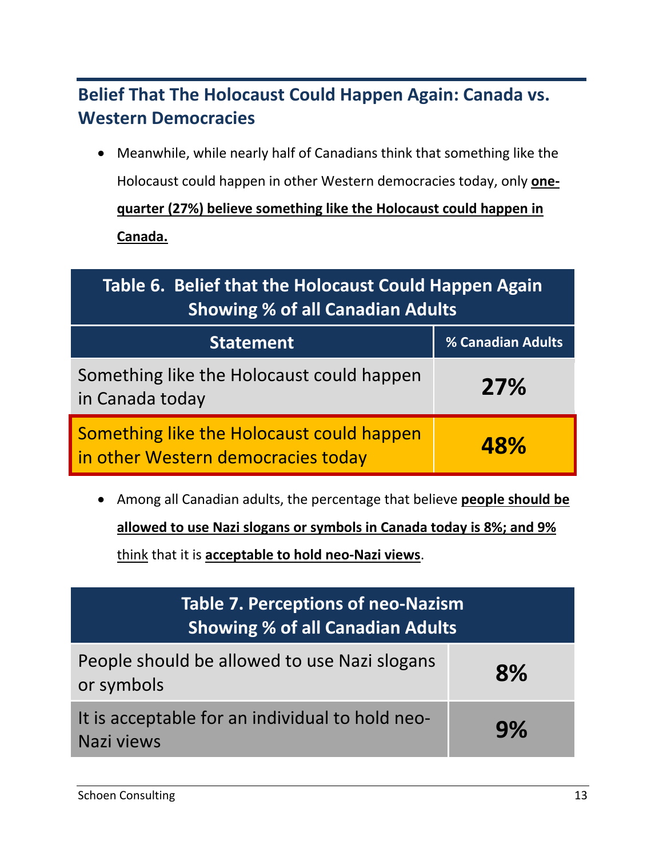### **Belief That The Holocaust Could Happen Again: Canada vs. Western Democracies**

• Meanwhile, while nearly half of Canadians think that something like the Holocaust could happen in other Western democracies today, only **onequarter (27%) believe something like the Holocaust could happen in Canada.**

| Table 6. Belief that the Holocaust Could Happen Again<br><b>Showing % of all Canadian Adults</b> |                          |
|--------------------------------------------------------------------------------------------------|--------------------------|
| <b>Statement</b>                                                                                 | <b>% Canadian Adults</b> |
| Something like the Holocaust could happen<br>in Canada today                                     | <b>27%</b>               |
| Something like the Holocaust could happen<br>in other Western democracies today                  | 48%                      |

• Among all Canadian adults, the percentage that believe **people should be** 

**allowed to use Nazi slogans or symbols in Canada today is 8%; and 9%** 

think that it is **acceptable to hold neo-Nazi views**.

| <b>Table 7. Perceptions of neo-Nazism</b><br><b>Showing % of all Canadian Adults</b> |    |
|--------------------------------------------------------------------------------------|----|
| People should be allowed to use Nazi slogans<br>or symbols                           | 8% |
| It is acceptable for an individual to hold neo-<br>Nazi views                        | 9% |